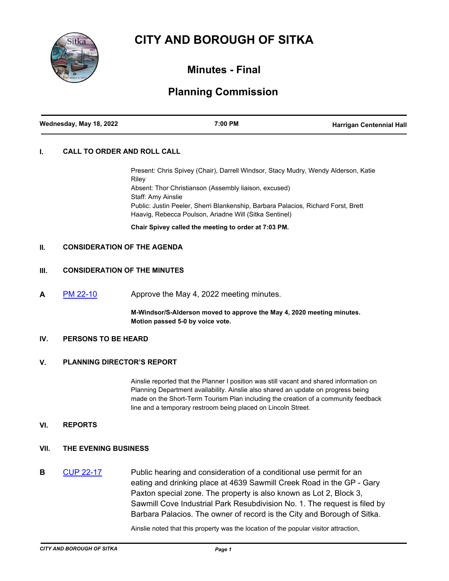# **CITY AND BOROUGH OF SITKA**



## **Minutes - Final**

# **Planning Commission**

| Wednesday, May 18, 2022 | 7:00 PM | <b>Harrigan Centennial Hall</b> |
|-------------------------|---------|---------------------------------|
|                         |         |                                 |

#### **I. CALL TO ORDER AND ROLL CALL**

Present: Chris Spivey (Chair), Darrell Windsor, Stacy Mudry, Wendy Alderson, Katie Riley Absent: Thor Christianson (Assembly liaison, excused) Staff: Amy Ainslie Public: Justin Peeler, Sherri Blankenship, Barbara Palacios, Richard Forst, Brett Haavig, Rebecca Poulson, Ariadne Will (Sitka Sentinel)

**Chair Spivey called the meeting to order at 7:03 PM.**

### **II. CONSIDERATION OF THE AGENDA**

#### **III. CONSIDERATION OF THE MINUTES**

**A** [PM 22-10](http://sitka.legistar.com/gateway.aspx?m=l&id=/matter.aspx?key=13621) Approve the May 4, 2022 meeting minutes.

**M-Windsor/S-Alderson moved to approve the May 4, 2020 meeting minutes. Motion passed 5-0 by voice vote.**

#### **IV. PERSONS TO BE HEARD**

#### **V. PLANNING DIRECTOR'S REPORT**

Ainslie reported that the Planner I position was still vacant and shared information on Planning Department availability. Ainslie also shared an update on progress being made on the Short-Term Tourism Plan including the creation of a community feedback line and a temporary restroom being placed on Lincoln Street.

#### **VI. REPORTS**

- **VII. THE EVENING BUSINESS**
- **B** [CUP 22-17](http://sitka.legistar.com/gateway.aspx?m=l&id=/matter.aspx?key=13617) Public hearing and consideration of a conditional use permit for an eating and drinking place at 4639 Sawmill Creek Road in the GP - Gary Paxton special zone. The property is also known as Lot 2, Block 3, Sawmill Cove Industrial Park Resubdivision No. 1. The request is filed by Barbara Palacios. The owner of record is the City and Borough of Sitka.

Ainslie noted that this property was the location of the popular visitor attraction,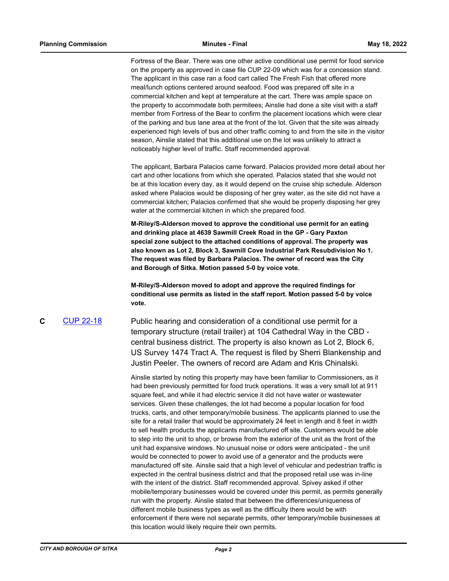Fortress of the Bear. There was one other active conditional use permit for food service on the property as approved in case file CUP 22-09 which was for a concession stand. The applicant in this case ran a food cart called The Fresh Fish that offered more meal/lunch options centered around seafood. Food was prepared off site in a commercial kitchen and kept at temperature at the cart. There was ample space on the property to accommodate both permitees; Ainslie had done a site visit with a staff member from Fortress of the Bear to confirm the placement locations which were clear of the parking and bus lane area at the front of the lot. Given that the site was already experienced high levels of bus and other traffic coming to and from the site in the visitor season, Ainslie stated that this additional use on the lot was unlikely to attract a noticeably higher level of traffic. Staff recommended approval.

The applicant, Barbara Palacios came forward. Palacios provided more detail about her cart and other locations from which she operated. Palacios stated that she would not be at this location every day, as it would depend on the cruise ship schedule. Alderson asked where Palacios would be disposing of her grey water, as the site did not have a commercial kitchen; Palacios confirmed that she would be properly disposing her grey water at the commercial kitchen in which she prepared food.

**M-Riley/S-Alderson moved to approve the conditional use permit for an eating and drinking place at 4639 Sawmill Creek Road in the GP - Gary Paxton special zone subject to the attached conditions of approval. The property was also known as Lot 2, Block 3, Sawmill Cove Industrial Park Resubdivision No 1. The request was filed by Barbara Palacios. The owner of record was the City and Borough of Sitka. Motion passed 5-0 by voice vote.** 

**M-Riley/S-Alderson moved to adopt and approve the required findings for conditional use permits as listed in the staff report. Motion passed 5-0 by voice vote.**

**C** [CUP 22-18](http://sitka.legistar.com/gateway.aspx?m=l&id=/matter.aspx?key=13618) Public hearing and consideration of a conditional use permit for a temporary structure (retail trailer) at 104 Cathedral Way in the CBD central business district. The property is also known as Lot 2, Block 6, US Survey 1474 Tract A. The request is filed by Sherri Blankenship and Justin Peeler. The owners of record are Adam and Kris Chinalski.

> Ainslie started by noting this property may have been familiar to Commissioners, as it had been previously permitted for food truck operations. It was a very small lot at 911 square feet, and while it had electric service it did not have water or wastewater services. Given these challenges, the lot had become a popular location for food trucks, carts, and other temporary/mobile business. The applicants planned to use the site for a retail trailer that would be approximately 24 feet in length and 8 feet in width to sell health products the applicants manufactured off site. Customers would be able to step into the unit to shop, or browse from the exterior of the unit as the front of the unit had expansive windows. No unusual noise or odors were anticipated - the unit would be connected to power to avoid use of a generator and the products were manufactured off site. Ainslie said that a high level of vehicular and pedestrian traffic is expected in the central business district and that the proposed retail use was in-line with the intent of the district. Staff recommended approval. Spivey asked if other mobile/temporary businesses would be covered under this permit, as permits generally run with the property. Ainslie stated that between the differences/uniqueness of different mobile business types as well as the difficulty there would be with enforcement if there were not separate permits, other temporary/mobile businesses at this location would likely require their own permits.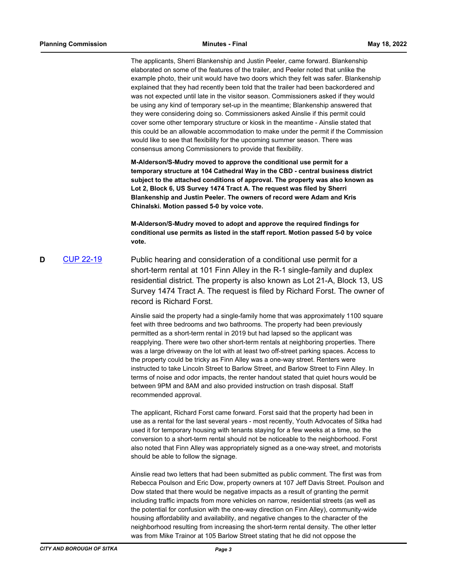The applicants, Sherri Blankenship and Justin Peeler, came forward. Blankenship elaborated on some of the features of the trailer, and Peeler noted that unlike the example photo, their unit would have two doors which they felt was safer. Blankenship explained that they had recently been told that the trailer had been backordered and was not expected until late in the visitor season. Commissioners asked if they would be using any kind of temporary set-up in the meantime; Blankenship answered that they were considering doing so. Commissioners asked Ainslie if this permit could cover some other temporary structure or kiosk in the meantime - Ainslie stated that this could be an allowable accommodation to make under the permit if the Commission would like to see that flexibility for the upcoming summer season. There was consensus among Commissioners to provide that flexibility.

**M-Alderson/S-Mudry moved to approve the conditional use permit for a temporary structure at 104 Cathedral Way in the CBD - central business district subject to the attached conditions of approval. The property was also known as Lot 2, Block 6, US Survey 1474 Tract A. The request was filed by Sherri Blankenship and Justin Peeler. The owners of record were Adam and Kris Chinalski. Motion passed 5-0 by voice vote.** 

**M-Alderson/S-Mudry moved to adopt and approve the required findings for conditional use permits as listed in the staff report. Motion passed 5-0 by voice vote.**

**D** [CUP 22-19](http://sitka.legistar.com/gateway.aspx?m=l&id=/matter.aspx?key=13619) Public hearing and consideration of a conditional use permit for a short-term rental at 101 Finn Alley in the R-1 single-family and duplex residential district. The property is also known as Lot 21-A, Block 13, US Survey 1474 Tract A. The request is filed by Richard Forst. The owner of record is Richard Forst.

> Ainslie said the property had a single-family home that was approximately 1100 square feet with three bedrooms and two bathrooms. The property had been previously permitted as a short-term rental in 2019 but had lapsed so the applicant was reapplying. There were two other short-term rentals at neighboring properties. There was a large driveway on the lot with at least two off-street parking spaces. Access to the property could be tricky as Finn Alley was a one-way street. Renters were instructed to take Lincoln Street to Barlow Street, and Barlow Street to Finn Alley. In terms of noise and odor impacts, the renter handout stated that quiet hours would be between 9PM and 8AM and also provided instruction on trash disposal. Staff recommended approval.

> The applicant, Richard Forst came forward. Forst said that the property had been in use as a rental for the last several years - most recently, Youth Advocates of Sitka had used it for temporary housing with tenants staying for a few weeks at a time, so the conversion to a short-term rental should not be noticeable to the neighborhood. Forst also noted that Finn Alley was appropriately signed as a one-way street, and motorists should be able to follow the signage.

> Ainslie read two letters that had been submitted as public comment. The first was from Rebecca Poulson and Eric Dow, property owners at 107 Jeff Davis Street. Poulson and Dow stated that there would be negative impacts as a result of granting the permit including traffic impacts from more vehicles on narrow, residential streets (as well as the potential for confusion with the one-way direction on Finn Alley), community-wide housing affordability and availability, and negative changes to the character of the neighborhood resulting from increasing the short-term rental density. The other letter was from Mike Trainor at 105 Barlow Street stating that he did not oppose the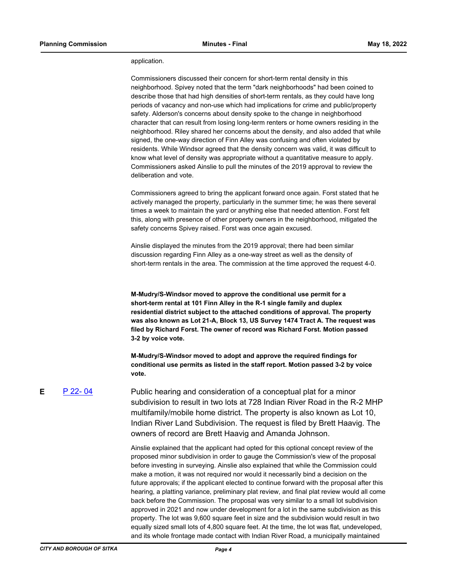#### application.

Commissioners discussed their concern for short-term rental density in this neighborhood. Spivey noted that the term "dark neighborhoods" had been coined to describe those that had high densities of short-term rentals, as they could have long periods of vacancy and non-use which had implications for crime and public/property safety. Alderson's concerns about density spoke to the change in neighborhood character that can result from losing long-term renters or home owners residing in the neighborhood. Riley shared her concerns about the density, and also added that while signed, the one-way direction of Finn Alley was confusing and often violated by residents. While Windsor agreed that the density concern was valid, it was difficult to know what level of density was appropriate without a quantitative measure to apply. Commissioners asked Ainslie to pull the minutes of the 2019 approval to review the deliberation and vote.

Commissioners agreed to bring the applicant forward once again. Forst stated that he actively managed the property, particularly in the summer time; he was there several times a week to maintain the yard or anything else that needed attention. Forst felt this, along with presence of other property owners in the neighborhood, mitigated the safety concerns Spivey raised. Forst was once again excused.

Ainslie displayed the minutes from the 2019 approval; there had been similar discussion regarding Finn Alley as a one-way street as well as the density of short-term rentals in the area. The commission at the time approved the request 4-0.

**M-Mudry/S-Windsor moved to approve the conditional use permit for a short-term rental at 101 Finn Alley in the R-1 single family and duplex residential district subject to the attached conditions of approval. The property was also known as Lot 21-A, Block 13, US Survey 1474 Tract A. The request was filed by Richard Forst. The owner of record was Richard Forst. Motion passed 3-2 by voice vote.** 

**M-Mudry/S-Windsor moved to adopt and approve the required findings for conditional use permits as listed in the staff report. Motion passed 3-2 by voice vote.**

**E** [P 22- 04](http://sitka.legistar.com/gateway.aspx?m=l&id=/matter.aspx?key=13620) Public hearing and consideration of a conceptual plat for a minor subdivision to result in two lots at 728 Indian River Road in the R-2 MHP multifamily/mobile home district. The property is also known as Lot 10, Indian River Land Subdivision. The request is filed by Brett Haavig. The owners of record are Brett Haavig and Amanda Johnson.

> Ainslie explained that the applicant had opted for this optional concept review of the proposed minor subdivision in order to gauge the Commission's view of the proposal before investing in surveying. Ainslie also explained that while the Commission could make a motion, it was not required nor would it necessarily bind a decision on the future approvals; if the applicant elected to continue forward with the proposal after this hearing, a platting variance, preliminary plat review, and final plat review would all come back before the Commission. The proposal was very similar to a small lot subdivision approved in 2021 and now under development for a lot in the same subdivision as this property. The lot was 9,600 square feet in size and the subdivision would result in two equally sized small lots of 4,800 square feet. At the time, the lot was flat, undeveloped, and its whole frontage made contact with Indian River Road, a municipally maintained